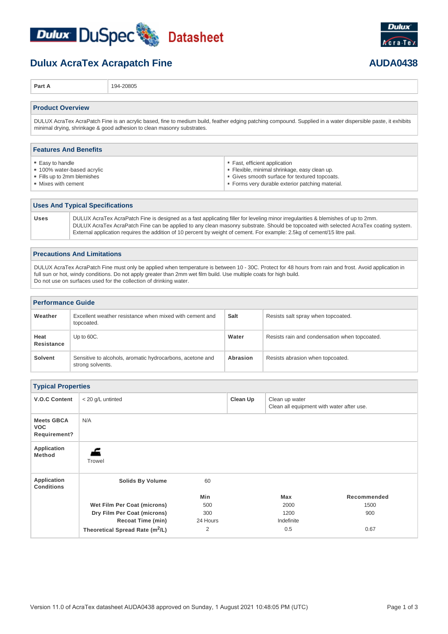

## **Dulux AcraTex Acrapatch Fine AUDA0438**

**Part A** 194-20805

### **Product Overview**

DULUX AcraTex AcraPatch Fine is an acrylic based, fine to medium build, feather edging patching compound. Supplied in a water dispersible paste, it exhibits minimal drying, shrinkage & good adhesion to clean masonry substrates.

| <b>Features And Benefits</b> |                                                  |  |  |  |
|------------------------------|--------------------------------------------------|--|--|--|
| • Easy to handle             | Fast, efficient application                      |  |  |  |
| • 100% water-based acrylic   | • Flexible, minimal shrinkage, easy clean up.    |  |  |  |
| • Fills up to 2mm blemishes  | • Gives smooth surface for textured topcoats.    |  |  |  |
| • Mixes with cement          | • Forms very durable exterior patching material. |  |  |  |

### **Uses And Typical Specifications**

**Uses** DULUX AcraTex AcraPatch Fine is designed as a fast applicating filler for leveling minor irregularities & blemishes of up to 2mm. DULUX AcraTex AcraPatch Fine can be applied to any clean masonry substrate. Should be topcoated with selected AcraTex coating system. External application requires the addition of 10 percent by weight of cement. For example: 2.5kg of cement/15 litre pail.

| <b>Precautions And Limitations</b>                                                                                                                                                                                                                                                                                                                 |  |
|----------------------------------------------------------------------------------------------------------------------------------------------------------------------------------------------------------------------------------------------------------------------------------------------------------------------------------------------------|--|
| DULUX AcraTex AcraPatch Fine must only be applied when temperature is between 10 - 30C. Protect for 48 hours from rain and frost. Avoid application in<br>full sun or hot, windy conditions. Do not apply greater than 2mm wet film build. Use multiple coats for high build.<br>Do not use on surfaces used for the collection of drinking water. |  |

| <b>Performance Guide</b> |                                                                               |             |                                               |
|--------------------------|-------------------------------------------------------------------------------|-------------|-----------------------------------------------|
| Weather                  | Excellent weather resistance when mixed with cement and<br>topcoated.         | <b>Salt</b> | Resists salt spray when topcoated.            |
| Heat<br>Resistance       | Up to 60C.                                                                    | Water       | Resists rain and condensation when topcoated. |
| <b>Solvent</b>           | Sensitive to alcohols, aromatic hydrocarbons, acetone and<br>strong solvents. | Abrasion    | Resists abrasion when topcoated.              |

| <b>Typical Properties</b>                       |                                             |                |          |                                                             |             |
|-------------------------------------------------|---------------------------------------------|----------------|----------|-------------------------------------------------------------|-------------|
| <b>V.O.C Content</b>                            | < 20 g/L untinted                           |                | Clean Up | Clean up water<br>Clean all equipment with water after use. |             |
| <b>Meets GBCA</b><br><b>VOC</b><br>Requirement? | N/A                                         |                |          |                                                             |             |
| Application<br><b>Method</b>                    | Trowel                                      |                |          |                                                             |             |
| Application<br><b>Conditions</b>                | <b>Solids By Volume</b>                     | 60             |          |                                                             |             |
|                                                 |                                             | Min            |          | Max                                                         | Recommended |
|                                                 | Wet Film Per Coat (microns)                 | 500            |          | 2000                                                        | 1500        |
|                                                 | Dry Film Per Coat (microns)                 | 300            |          | 1200                                                        | 900         |
|                                                 | Recoat Time (min)                           | 24 Hours       |          | Indefinite                                                  |             |
|                                                 | Theoretical Spread Rate (m <sup>2</sup> /L) | $\overline{2}$ |          | 0.5                                                         | 0.67        |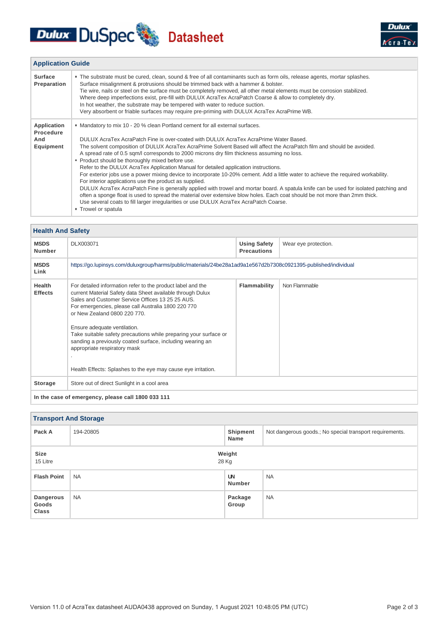# Dulux DuSpec Datasheet



| <b>Application Guide</b>                     |                                                                                                                                                                                                                                                                                                                                                                                                                                                                                                                                                                                                                                                                                                                                                                                                                                                                                                                                                                                                                                                                                                                                     |
|----------------------------------------------|-------------------------------------------------------------------------------------------------------------------------------------------------------------------------------------------------------------------------------------------------------------------------------------------------------------------------------------------------------------------------------------------------------------------------------------------------------------------------------------------------------------------------------------------------------------------------------------------------------------------------------------------------------------------------------------------------------------------------------------------------------------------------------------------------------------------------------------------------------------------------------------------------------------------------------------------------------------------------------------------------------------------------------------------------------------------------------------------------------------------------------------|
| <b>Surface</b><br>Preparation                | . The substrate must be cured, clean, sound & free of all contaminants such as form oils, release agents, mortar splashes.<br>Surface misalignment & protrusions should be trimmed back with a hammer & bolster.<br>Tie wire, nails or steel on the surface must be completely removed, all other metal elements must be corrosion stabilized.<br>Where deep imperfections exist, pre-fill with DULUX AcraTex AcraPatch Coarse & allow to completely dry.<br>In hot weather, the substrate may be tempered with water to reduce suction.<br>Very absorbent or friable surfaces may require pre-priming with DULUX AcraTex AcraPrime WB.                                                                                                                                                                                                                                                                                                                                                                                                                                                                                             |
| Application<br>Procedure<br>And<br>Equipment | • Mandatory to mix 10 - 20 % clean Portland cement for all external surfaces.<br>DULUX AcraTex AcraPatch Fine is over-coated with DULUX AcraTex AcraPrime Water Based.<br>The solvent composition of DULUX AcraTex AcraPrime Solvent Based will affect the AcraPatch film and should be avoided.<br>A spread rate of 0.5 sqm/l corresponds to 2000 microns dry film thickness assuming no loss.<br>• Product should be thoroughly mixed before use.<br>Refer to the DULUX AcraTex Application Manual for detailed application instructions.<br>For exterior jobs use a power mixing device to incorporate 10-20% cement. Add a little water to achieve the required workability.<br>For interior applications use the product as supplied.<br>DULUX AcraTex AcraPatch Fine is generally applied with trowel and mortar board. A spatula knife can be used for isolated patching and<br>often a sponge float is used to spread the material over extensive blow holes. Each coat should be not more than 2mm thick.<br>Use several coats to fill larger irregularities or use DULUX AcraTex AcraPatch Coarse.<br>■ Trowel or spatula |

### **Health And Safety**

| <b>MSDS</b><br><b>Number</b>                       | DLX003071                                                                                                                                                                                                                                                                                                                                                                                                                                                                                                                              | <b>Using Safety</b><br><b>Precautions</b> | Wear eye protection. |  |  |
|----------------------------------------------------|----------------------------------------------------------------------------------------------------------------------------------------------------------------------------------------------------------------------------------------------------------------------------------------------------------------------------------------------------------------------------------------------------------------------------------------------------------------------------------------------------------------------------------------|-------------------------------------------|----------------------|--|--|
| <b>MSDS</b><br>Link                                | https://go.lupinsys.com/duluxgroup/harms/public/materials/24be28a1ad9a1e567d2b7308c0921395-published/individual                                                                                                                                                                                                                                                                                                                                                                                                                        |                                           |                      |  |  |
| <b>Health</b><br><b>Effects</b>                    | For detailed information refer to the product label and the<br>current Material Safety data Sheet available through Dulux<br>Sales and Customer Service Offices 13 25 25 AUS.<br>For emergencies, please call Australia 1800 220 770<br>or New Zealand 0800 220 770.<br>Ensure adequate ventilation.<br>Take suitable safety precautions while preparing your surface or<br>sanding a previously coated surface, including wearing an<br>appropriate respiratory mask<br>Health Effects: Splashes to the eye may cause eye irritation. | Flammability                              | Non Flammable        |  |  |
| Storage                                            | Store out of direct Sunlight in a cool area                                                                                                                                                                                                                                                                                                                                                                                                                                                                                            |                                           |                      |  |  |
| In the case of emergency, please call 1800 033 111 |                                                                                                                                                                                                                                                                                                                                                                                                                                                                                                                                        |                                           |                      |  |  |

### **Transport And Storage Pack A** 194-20805 **Shipment Name** Not dangerous goods.; No special transport requirements. **Size Weight** 15 Litre 28 Kg **Flash Point** NA **UN Number** NA **Dangerous Goods Class** NA **Package Group** NA